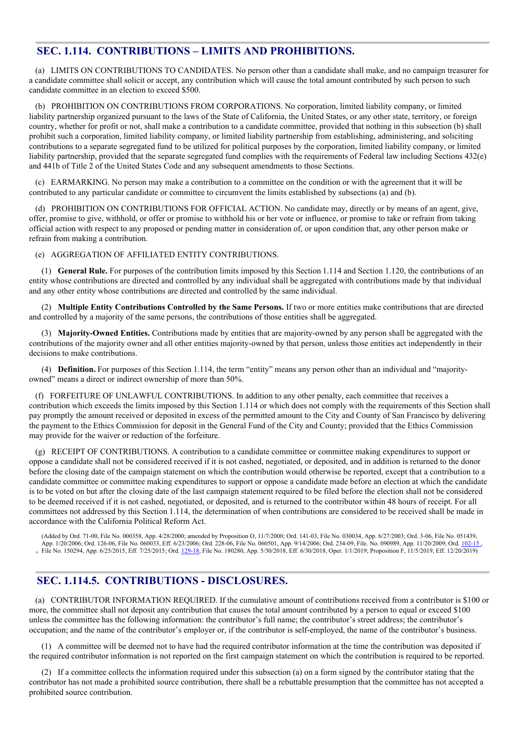## **SEC. 1.114. CONTRIBUTIONS – LIMITS AND PROHIBITIONS.**

(a) LIMITS ON CONTRIBUTIONS TO CANDIDATES. No person other than a candidate shall make, and no campaign treasurer for a candidate committee shall solicit or accept, any contribution which will cause the total amount contributed by such person to such candidate committee in an election to exceed \$500.

(b) PROHIBITION ON CONTRIBUTIONS FROM CORPORATIONS. No corporation, limited liability company, or limited liability partnership organized pursuant to the laws of the State of California, the United States, or any other state, territory, or foreign country, whether for profit or not, shall make a contribution to a candidate committee, provided that nothing in this subsection (b) shall prohibit such a corporation, limited liability company, or limited liability partnership from establishing, administering, and soliciting contributions to a separate segregated fund to be utilized for political purposes by the corporation, limited liability company, or limited liability partnership, provided that the separate segregated fund complies with the requirements of Federal law including Sections 432(e) and 441b of Title 2 of the United States Code and any subsequent amendments to those Sections.

(c) EARMARKING. No person may make a contribution to a committee on the condition or with the agreement that it will be contributed to any particular candidate or committee to circumvent the limits established by subsections (a) and (b).

(d) PROHIBITION ON CONTRIBUTIONS FOR OFFICIAL ACTION. No candidate may, directly or by means of an agent, give, offer, promise to give, withhold, or offer or promise to withhold his or her vote or influence, or promise to take or refrain from taking official action with respect to any proposed or pending matter in consideration of, or upon condition that, any other person make or refrain from making a contribution.

(e) AGGREGATION OF AFFILIATED ENTITY CONTRIBUTIONS.

(1) **General Rule.** For purposes of the contribution limits imposed by this Section 1.114 and Section 1.120, the contributions of an entity whose contributions are directed and controlled by any individual shall be aggregated with contributions made by that individual and any other entity whose contributions are directed and controlled by the same individual.

(2) **Multiple Entity Contributions Controlled by the Same Persons.** If two or more entities make contributions that are directed and controlled by a majority of the same persons, the contributions of those entities shall be aggregated.

(3) **Majority-Owned Entities.** Contributions made by entities that are majority-owned by any person shall be aggregated with the contributions of the majority owner and all other entities majority-owned by that person, unless those entities act independently in their decisions to make contributions.

(4) **Definition.** For purposes of this Section 1.114, the term "entity" means any person other than an individual and "majorityowned" means a direct or indirect ownership of more than 50%.

(f) FORFEITURE OF UNLAWFUL CONTRIBUTIONS. In addition to any other penalty, each committee that receives a contribution which exceeds the limits imposed by this Section 1.114 or which does not comply with the requirements of this Section shall pay promptly the amount received or deposited in excess of the permitted amount to the City and County of San Francisco by delivering the payment to the Ethics Commission for deposit in the General Fund of the City and County; provided that the Ethics Commission may provide for the waiver or reduction of the forfeiture.

(g) RECEIPT OF CONTRIBUTIONS. A contribution to a candidate committee or committee making expenditures to support or oppose a candidate shall not be considered received if it is not cashed, negotiated, or deposited, and in addition is returned to the donor before the closing date of the campaign statement on which the contribution would otherwise be reported, except that a contribution to a candidate committee or committee making expenditures to support or oppose a candidate made before an election at which the candidate is to be voted on but after the closing date of the last campaign statement required to be filed before the election shall not be considered to be deemed received if it is not cashed, negotiated, or deposited, and is returned to the contributor within 48 hours of receipt. For all committees not addressed by this Section 1.114, the determination of when contributions are considered to be received shall be made in accordance with the California Political Reform Act.

(Added by Ord. 71-00, File No. 000358, App. 4/28/2000; amended by Proposition O, 11/7/2000; Ord. 141-03, File No. 030034, App. 6/27/2003; Ord. 3-06, File No. 051439, App. 1/20/2006; Ord. 126-06, File No. 060033, Eff. 6/23/2006; Ord. 228-06, File No. 060501, App. 9/14/2006; Ord. 234-09, File. No. 090989, App. 11/20/2009; Ord. [102-15](http://www.sfbos.org/ftp/uploadedfiles/bdsupvrs/ordinances15/o0102-15.pdf) File No. 150294, App. 6/25/2015, Eff. 7/25/2015; Ord. [129-18](http://sfbos.org/sites/default/files/o0129-18.pdf), File No. 180280, App. 5/30/2018, Eff. 6/30/2018, Oper. 1/1/2019; Proposition F, 11/5/2019, Eff. 12/20/2019)

# **SEC. 1.114.5. CONTRIBUTIONS - DISCLOSURES.**

(a) CONTRIBUTOR INFORMATION REQUIRED. If the cumulative amount of contributions received from a contributor is \$100 or more, the committee shall not deposit any contribution that causes the total amount contributed by a person to equal or exceed \$100 unless the committee has the following information: the contributor's full name; the contributor's street address; the contributor's occupation; and the name of the contributor's employer or, if the contributor is self-employed, the name of the contributor's business.

(1) A committee will be deemed not to have had the required contributor information at the time the contribution was deposited if the required contributor information is not reported on the first campaign statement on which the contribution is required to be reported.

(2) If a committee collects the information required under this subsection (a) on a form signed by the contributor stating that the contributor has not made a prohibited source contribution, there shall be a rebuttable presumption that the committee has not accepted a prohibited source contribution.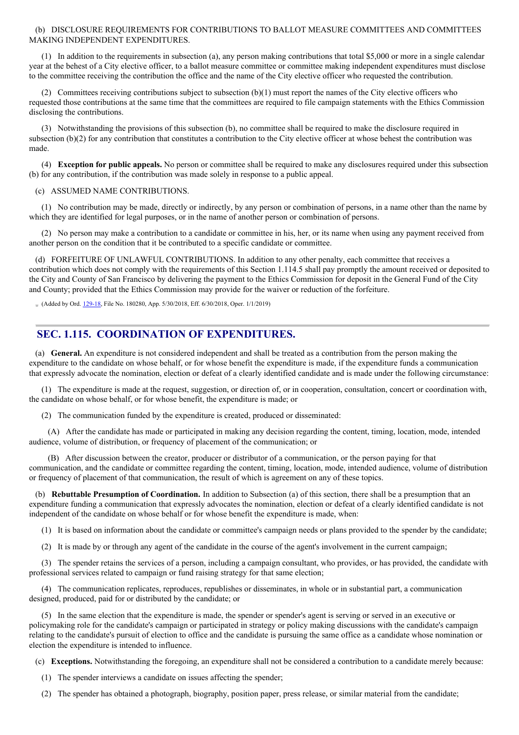#### (b) DISCLOSURE REQUIREMENTS FOR CONTRIBUTIONS TO BALLOT MEASURE COMMITTEES AND COMMITTEES MAKING INDEPENDENT EXPENDITURES.

(1) In addition to the requirements in subsection (a), any person making contributions that total \$5,000 or more in a single calendar year at the behest of a City elective officer, to a ballot measure committee or committee making independent expenditures must disclose to the committee receiving the contribution the office and the name of the City elective officer who requested the contribution.

(2) Committees receiving contributions subject to subsection (b)(1) must report the names of the City elective officers who requested those contributions at the same time that the committees are required to file campaign statements with the Ethics Commission disclosing the contributions.

(3) Notwithstanding the provisions of this subsection (b), no committee shall be required to make the disclosure required in subsection (b)(2) for any contribution that constitutes a contribution to the City elective officer at whose behest the contribution was made.

(4) **Exception for public appeals.** No person or committee shall be required to make any disclosures required under this subsection (b) for any contribution, if the contribution was made solely in response to a public appeal.

#### (c) ASSUMED NAME CONTRIBUTIONS.

(1) No contribution may be made, directly or indirectly, by any person or combination of persons, in a name other than the name by which they are identified for legal purposes, or in the name of another person or combination of persons.

(2) No person may make a contribution to a candidate or committee in his, her, or its name when using any payment received from another person on the condition that it be contributed to a specific candidate or committee.

(d) FORFEITURE OF UNLAWFUL CONTRIBUTIONS. In addition to any other penalty, each committee that receives a contribution which does not comply with the requirements of this Section 1.114.5 shall pay promptly the amount received or deposited to the City and County of San Francisco by delivering the payment to the Ethics Commission for deposit in the General Fund of the City and County; provided that the Ethics Commission may provide for the waiver or reduction of the forfeiture.

(Added by Ord. [129-18](http://sfbos.org/sites/default/files/o0129-18.pdf), File No. 180280, App. 5/30/2018, Eff. 6/30/2018, Oper. 1/1/2019)

## **SEC. 1.115. COORDINATION OF EXPENDITURES.**

(a) **General.** An expenditure is not considered independent and shall be treated as a contribution from the person making the expenditure to the candidate on whose behalf, or for whose benefit the expenditure is made, if the expenditure funds a communication that expressly advocate the nomination, election or defeat of a clearly identified candidate and is made under the following circumstance:

(1) The expenditure is made at the request, suggestion, or direction of, or in cooperation, consultation, concert or coordination with, the candidate on whose behalf, or for whose benefit, the expenditure is made; or

(2) The communication funded by the expenditure is created, produced or disseminated:

(A) After the candidate has made or participated in making any decision regarding the content, timing, location, mode, intended audience, volume of distribution, or frequency of placement of the communication; or

(B) After discussion between the creator, producer or distributor of a communication, or the person paying for that communication, and the candidate or committee regarding the content, timing, location, mode, intended audience, volume of distribution or frequency of placement of that communication, the result of which is agreement on any of these topics.

(b) **Rebuttable Presumption of Coordination.** In addition to Subsection (a) of this section, there shall be a presumption that an expenditure funding a communication that expressly advocates the nomination, election or defeat of a clearly identified candidate is not independent of the candidate on whose behalf or for whose benefit the expenditure is made, when:

(1) It is based on information about the candidate or committee's campaign needs or plans provided to the spender by the candidate;

(2) It is made by or through any agent of the candidate in the course of the agent's involvement in the current campaign;

(3) The spender retains the services of a person, including a campaign consultant, who provides, or has provided, the candidate with professional services related to campaign or fund raising strategy for that same election;

(4) The communication replicates, reproduces, republishes or disseminates, in whole or in substantial part, a communication designed, produced, paid for or distributed by the candidate; or

(5) In the same election that the expenditure is made, the spender or spender's agent is serving or served in an executive or policymaking role for the candidate's campaign or participated in strategy or policy making discussions with the candidate's campaign relating to the candidate's pursuit of election to office and the candidate is pursuing the same office as a candidate whose nomination or election the expenditure is intended to influence.

(c) **Exceptions.** Notwithstanding the foregoing, an expenditure shall not be considered a contribution to a candidate merely because:

- (1) The spender interviews a candidate on issues affecting the spender;
- (2) The spender has obtained a photograph, biography, position paper, press release, or similar material from the candidate;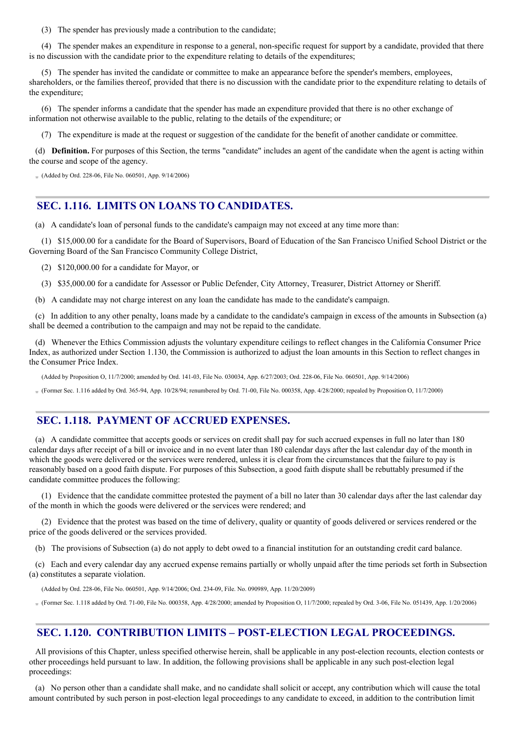(3) The spender has previously made a contribution to the candidate;

(4) The spender makes an expenditure in response to a general, non-specific request for support by a candidate, provided that there is no discussion with the candidate prior to the expenditure relating to details of the expenditures;

(5) The spender has invited the candidate or committee to make an appearance before the spender's members, employees, shareholders, or the families thereof, provided that there is no discussion with the candidate prior to the expenditure relating to details of the expenditure;

(6) The spender informs a candidate that the spender has made an expenditure provided that there is no other exchange of information not otherwise available to the public, relating to the details of the expenditure; or

(7) The expenditure is made at the request or suggestion of the candidate for the benefit of another candidate or committee.

(d) **Definition.** For purposes of this Section, the terms "candidate" includes an agent of the candidate when the agent is acting within the course and scope of the agency.

 $(Added by Ord. 228-06, File No. 060501, App. 9/14/2006)$ 

# **SEC. 1.116. LIMITS ON LOANS TO CANDIDATES.**

(a) A candidate's loan of personal funds to the candidate's campaign may not exceed at any time more than:

(1) \$15,000.00 for a candidate for the Board of Supervisors, Board of Education of the San Francisco Unified School District or the Governing Board of the San Francisco Community College District,

(2) \$120,000.00 for a candidate for Mayor, or

(3) \$35,000.00 for a candidate for Assessor or Public Defender, City Attorney, Treasurer, District Attorney or Sheriff.

(b) A candidate may not charge interest on any loan the candidate has made to the candidate's campaign.

(c) In addition to any other penalty, loans made by a candidate to the candidate's campaign in excess of the amounts in Subsection (a) shall be deemed a contribution to the campaign and may not be repaid to the candidate.

(d) Whenever the Ethics Commission adjusts the voluntary expenditure ceilings to reflect changes in the California Consumer Price Index, as authorized under Section 1.130, the Commission is authorized to adjust the loan amounts in this Section to reflect changes in the Consumer Price Index.

(Added by Proposition O, 11/7/2000; amended by Ord. 141-03, File No. 030034, App. 6/27/2003; Ord. 228-06, File No. 060501, App. 9/14/2006)

Former Sec. 1.116 added by Ord. 365-94, App. 10/28/94; renumbered by Ord. 71-00, File No. 000358, App. 4/28/2000; repealed by Proposition O, 11/7/2000)

### **SEC. 1.118. PAYMENT OF ACCRUED EXPENSES.**

(a) A candidate committee that accepts goods or services on credit shall pay for such accrued expenses in full no later than 180 calendar days after receipt of a bill or invoice and in no event later than 180 calendar days after the last calendar day of the month in which the goods were delivered or the services were rendered, unless it is clear from the circumstances that the failure to pay is reasonably based on a good faith dispute. For purposes of this Subsection, a good faith dispute shall be rebuttably presumed if the candidate committee produces the following:

(1) Evidence that the candidate committee protested the payment of a bill no later than 30 calendar days after the last calendar day of the month in which the goods were delivered or the services were rendered; and

(2) Evidence that the protest was based on the time of delivery, quality or quantity of goods delivered or services rendered or the price of the goods delivered or the services provided.

(b) The provisions of Subsection (a) do not apply to debt owed to a financial institution for an outstanding credit card balance.

(c) Each and every calendar day any accrued expense remains partially or wholly unpaid after the time periods set forth in Subsection (a) constitutes a separate violation.

(Added by Ord. 228-06, File No. 060501, App. 9/14/2006; Ord. 234-09, File. No. 090989, App. 11/20/2009)

(Former Sec. 1.118 added by Ord. 71-00, File No. 000358, App. 4/28/2000; amended by Proposition O, 11/7/2000; repealed by Ord. 3-06, File No. 051439, App. 1/20/2006)

## **SEC. 1.120. CONTRIBUTION LIMITS – POST-ELECTION LEGAL PROCEEDINGS.**

All provisions of this Chapter, unless specified otherwise herein, shall be applicable in any post-election recounts, election contests or other proceedings held pursuant to law. In addition, the following provisions shall be applicable in any such post-election legal proceedings:

(a) No person other than a candidate shall make, and no candidate shall solicit or accept, any contribution which will cause the total amount contributed by such person in post-election legal proceedings to any candidate to exceed, in addition to the contribution limit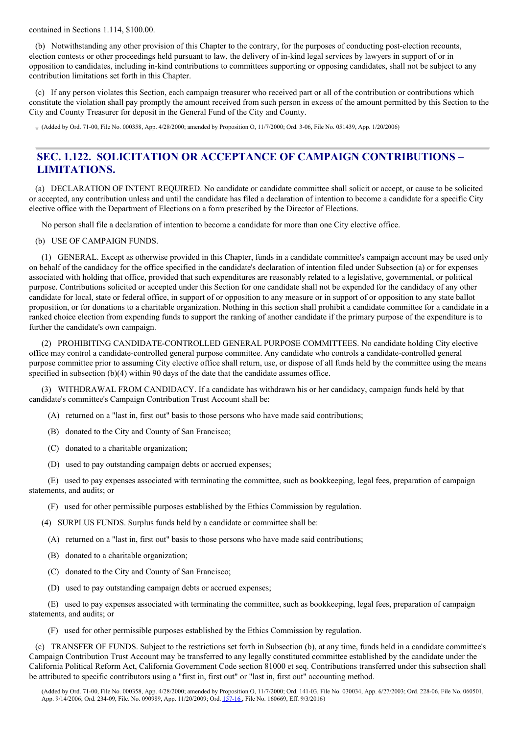contained in Sections 1.114, \$100.00.

(b) Notwithstanding any other provision of this Chapter to the contrary, for the purposes of conducting post-election recounts, election contests or other proceedings held pursuant to law, the delivery of in-kind legal services by lawyers in support of or in opposition to candidates, including in-kind contributions to committees supporting or opposing candidates, shall not be subject to any contribution limitations set forth in this Chapter.

(c) If any person violates this Section, each campaign treasurer who received part or all of the contribution or contributions which constitute the violation shall pay promptly the amount received from such person in excess of the amount permitted by this Section to the City and County Treasurer for deposit in the General Fund of the City and County.

 $(A$ dded by Ord. 71-00, File No. 000358, App. 4/28/2000; amended by Proposition O, 11/7/2000; Ord. 3-06, File No. 051439, App. 1/20/2006)

# **SEC. 1.122. SOLICITATION OR ACCEPTANCE OF CAMPAIGN CONTRIBUTIONS – LIMITATIONS.**

(a) DECLARATION OF INTENT REQUIRED. No candidate or candidate committee shall solicit or accept, or cause to be solicited or accepted, any contribution unless and until the candidate has filed a declaration of intention to become a candidate for a specific City elective office with the Department of Elections on a form prescribed by the Director of Elections.

No person shall file a declaration of intention to become a candidate for more than one City elective office.

#### (b) USE OF CAMPAIGN FUNDS.

(1) GENERAL. Except as otherwise provided in this Chapter, funds in a candidate committee's campaign account may be used only on behalf of the candidacy for the office specified in the candidate's declaration of intention filed under Subsection (a) or for expenses associated with holding that office, provided that such expenditures are reasonably related to a legislative, governmental, or political purpose. Contributions solicited or accepted under this Section for one candidate shall not be expended for the candidacy of any other candidate for local, state or federal office, in support of or opposition to any measure or in support of or opposition to any state ballot proposition, or for donations to a charitable organization. Nothing in this section shall prohibit a candidate committee for a candidate in a ranked choice election from expending funds to support the ranking of another candidate if the primary purpose of the expenditure is to further the candidate's own campaign.

(2) PROHIBITING CANDIDATE-CONTROLLED GENERAL PURPOSE COMMITTEES. No candidate holding City elective office may control a candidate-controlled general purpose committee. Any candidate who controls a candidate-controlled general purpose committee prior to assuming City elective office shall return, use, or dispose of all funds held by the committee using the means specified in subsection (b)(4) within 90 days of the date that the candidate assumes office.

(3) WITHDRAWAL FROM CANDIDACY. If a candidate has withdrawn his or her candidacy, campaign funds held by that candidate's committee's Campaign Contribution Trust Account shall be:

- (A) returned on a "last in, first out" basis to those persons who have made said contributions;
- (B) donated to the City and County of San Francisco;
- (C) donated to a charitable organization;
- (D) used to pay outstanding campaign debts or accrued expenses;

(E) used to pay expenses associated with terminating the committee, such as bookkeeping, legal fees, preparation of campaign statements, and audits; or

(F) used for other permissible purposes established by the Ethics Commission by regulation.

(4) SURPLUS FUNDS. Surplus funds held by a candidate or committee shall be:

- (A) returned on a "last in, first out" basis to those persons who have made said contributions;
- (B) donated to a charitable organization;
- (C) donated to the City and County of San Francisco;
- (D) used to pay outstanding campaign debts or accrued expenses;

(E) used to pay expenses associated with terminating the committee, such as bookkeeping, legal fees, preparation of campaign statements, and audits; or

(F) used for other permissible purposes established by the Ethics Commission by regulation.

(c) TRANSFER OF FUNDS. Subject to the restrictions set forth in Subsection (b), at any time, funds held in a candidate committee's Campaign Contribution Trust Account may be transferred to any legally constituted committee established by the candidate under the California Political Reform Act, California Government Code section 81000 et seq. Contributions transferred under this subsection shall be attributed to specific contributors using a "first in, first out" or "last in, first out" accounting method.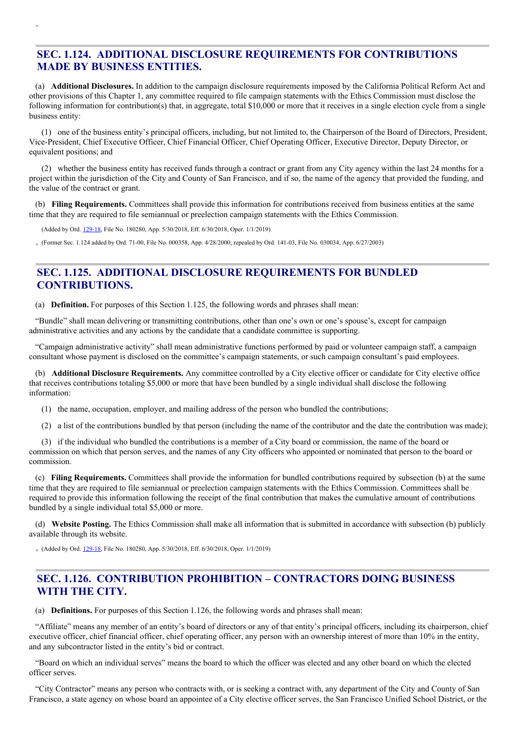# **SEC. 1.124. ADDITIONAL DISCLOSURE REQUIREMENTS FOR CONTRIBUTIONS MADE BY BUSINESS ENTITIES.**

(a) **Additional Disclosures.** In addition to the campaign disclosure requirements imposed by the California Political Reform Act and other provisions of this Chapter 1, any committee required to file campaign statements with the Ethics Commission must disclose the following information for contribution(s) that, in aggregate, total \$10,000 or more that it receives in a single election cycle from a single business entity:

(1) one of the business entity's principal officers, including, but not limited to, the Chairperson of the Board of Directors, President, Vice-President, Chief Executive Officer, Chief Financial Officer, Chief Operating Officer, Executive Director, Deputy Director, or equivalent positions; and

(2) whether the business entity has received funds through a contract or grant from any City agency within the last 24 months for a project within the jurisdiction of the City and County of San Francisco, and if so, the name of the agency that provided the funding, and the value of the contract or grant.

(b) **Filing Requirements.** Committees shall provide this information for contributions received from business entities at the same time that they are required to file semiannual or preelection campaign statements with the Ethics Commission.

(Added by Ord. [129-18](http://sfbos.org/sites/default/files/o0129-18.pdf), File No. 180280, App. 5/30/2018, Eff. 6/30/2018, Oper. 1/1/2019)

(Former Sec. 1.124 added by Ord. 71-00, File No. 000358, App. 4/28/2000; repealed by Ord. 141-03, File No. 030034, App. 6/27/2003)

# **SEC. 1.125. ADDITIONAL DISCLOSURE REQUIREMENTS FOR BUNDLED CONTRIBUTIONS.**

(a) **Definition.** For purposes of this Section 1.125, the following words and phrases shall mean:

"Bundle" shall mean delivering or transmitting contributions, other than one's own or one's spouse's, except for campaign administrative activities and any actions by the candidate that a candidate committee is supporting.

"Campaign administrative activity" shall mean administrative functions performed by paid or volunteer campaign staff, a campaign consultant whose payment is disclosed on the committee's campaign statements, or such campaign consultant's paid employees.

(b) **Additional Disclosure Requirements.** Any committee controlled by a City elective officer or candidate for City elective office that receives contributions totaling \$5,000 or more that have been bundled by a single individual shall disclose the following information:

(1) the name, occupation, employer, and mailing address of the person who bundled the contributions;

(2) a list of the contributions bundled by that person (including the name of the contributor and the date the contribution was made);

(3) if the individual who bundled the contributions is a member of a City board or commission, the name of the board or commission on which that person serves, and the names of any City officers who appointed or nominated that person to the board or commission.

(c) **Filing Requirements.** Committees shall provide the information for bundled contributions required by subsection (b) at the same time that they are required to file semiannual or preelection campaign statements with the Ethics Commission. Committees shall be required to provide this information following the receipt of the final contribution that makes the cumulative amount of contributions bundled by a single individual total \$5,000 or more.

(d) **Website Posting.** The Ethics Commission shall make all information that is submitted in accordance with subsection (b) publicly available through its website.

 $(Added by Ord. 129-18, File No. 180280, App. 5/30/2018, Eff. 6/30/2018, Oper. 1/1/2019)$  $(Added by Ord. 129-18, File No. 180280, App. 5/30/2018, Eff. 6/30/2018, Oper. 1/1/2019)$  $(Added by Ord. 129-18, File No. 180280, App. 5/30/2018, Eff. 6/30/2018, Oper. 1/1/2019)$ 

# **SEC. 1.126. CONTRIBUTION PROHIBITION – CONTRACTORS DOING BUSINESS WITH THE CITY.**

(a) **Definitions.** For purposes of this Section 1.126, the following words and phrases shall mean:

"Affiliate" means any member of an entity's board of directors or any of that entity's principal officers, including its chairperson, chief executive officer, chief financial officer, chief operating officer, any person with an ownership interest of more than 10% in the entity, and any subcontractor listed in the entity's bid or contract.

"Board on which an individual serves" means the board to which the officer was elected and any other board on which the elected officer serves.

"City Contractor" means any person who contracts with, or is seeking a contract with, any department of the City and County of San Francisco, a state agency on whose board an appointee of a City elective officer serves, the San Francisco Unified School District, or the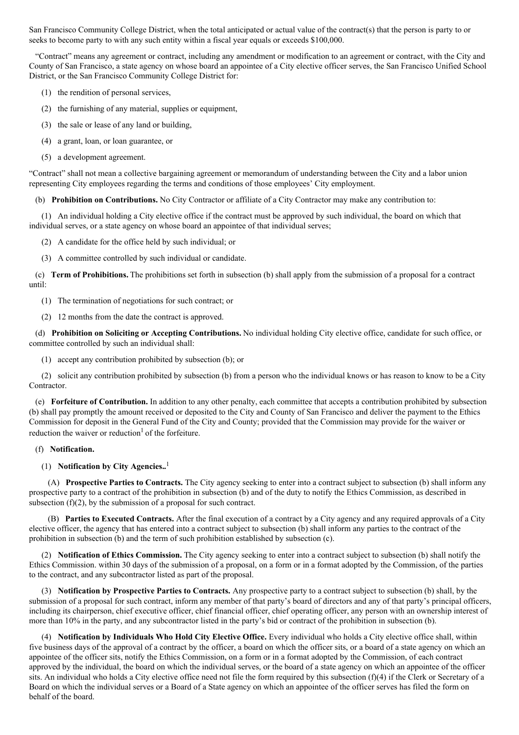San Francisco Community College District, when the total anticipated or actual value of the contract(s) that the person is party to or seeks to become party to with any such entity within a fiscal year equals or exceeds \$100,000.

"Contract" means any agreement or contract, including any amendment or modification to an agreement or contract, with the City and County of San Francisco, a state agency on whose board an appointee of a City elective officer serves, the San Francisco Unified School District, or the San Francisco Community College District for:

- (1) the rendition of personal services,
- (2) the furnishing of any material, supplies or equipment,
- (3) the sale or lease of any land or building,
- (4) a grant, loan, or loan guarantee, or
- (5) a development agreement.

"Contract" shall not mean a collective bargaining agreement or memorandum of understanding between the City and a labor union representing City employees regarding the terms and conditions of those employees' City employment.

(b) **Prohibition on Contributions.** No City Contractor or affiliate of a City Contractor may make any contribution to:

(1) An individual holding a City elective office if the contract must be approved by such individual, the board on which that individual serves, or a state agency on whose board an appointee of that individual serves;

- (2) A candidate for the office held by such individual; or
- (3) A committee controlled by such individual or candidate.

(c) **Term of Prohibitions.** The prohibitions set forth in subsection (b) shall apply from the submission of a proposal for a contract until:

- (1) The termination of negotiations for such contract; or
- (2) 12 months from the date the contract is approved.

(d) **Prohibition on Soliciting or Accepting Contributions.** No individual holding City elective office, candidate for such office, or committee controlled by such an individual shall:

(1) accept any contribution prohibited by subsection (b); or

(2) solicit any contribution prohibited by subsection (b) from a person who the individual knows or has reason to know to be a City Contractor.

(e) **Forfeiture of Contribution.** In addition to any other penalty, each committee that accepts a contribution prohibited by subsection (b) shall pay promptly the amount received or deposited to the City and County of San Francisco and deliver the payment to the Ethics Commission for deposit in the General Fund of the City and County; provided that the Commission may provide for the waiver or reduction the waiver or reduction<sup>1</sup> of the forfeiture.

#### (f) **Notification.**

### (1) **Notification by City Agencies..** 1

(A) **Prospective Parties to Contracts.** The City agency seeking to enter into a contract subject to subsection (b) shall inform any prospective party to a contract of the prohibition in subsection (b) and of the duty to notify the Ethics Commission, as described in subsection (f)(2), by the submission of a proposal for such contract.

(B) **Parties to Executed Contracts.** After the final execution of a contract by a City agency and any required approvals of a City elective officer, the agency that has entered into a contract subject to subsection (b) shall inform any parties to the contract of the prohibition in subsection (b) and the term of such prohibition established by subsection (c).

(2) **Notification of Ethics Commission.** The City agency seeking to enter into a contract subject to subsection (b) shall notify the Ethics Commission. within 30 days of the submission of a proposal, on a form or in a format adopted by the Commission, of the parties to the contract, and any subcontractor listed as part of the proposal.

(3) **Notification by Prospective Parties to Contracts.** Any prospective party to a contract subject to subsection (b) shall, by the submission of a proposal for such contract, inform any member of that party's board of directors and any of that party's principal officers, including its chairperson, chief executive officer, chief financial officer, chief operating officer, any person with an ownership interest of more than 10% in the party, and any subcontractor listed in the party's bid or contract of the prohibition in subsection (b).

(4) **Notification by Individuals Who Hold City Elective Office.** Every individual who holds a City elective office shall, within five business days of the approval of a contract by the officer, a board on which the officer sits, or a board of a state agency on which an appointee of the officer sits, notify the Ethics Commission, on a form or in a format adopted by the Commission, of each contract approved by the individual, the board on which the individual serves, or the board of a state agency on which an appointee of the officer sits. An individual who holds a City elective office need not file the form required by this subsection (f)(4) if the Clerk or Secretary of a Board on which the individual serves or a Board of a State agency on which an appointee of the officer serves has filed the form on behalf of the board.